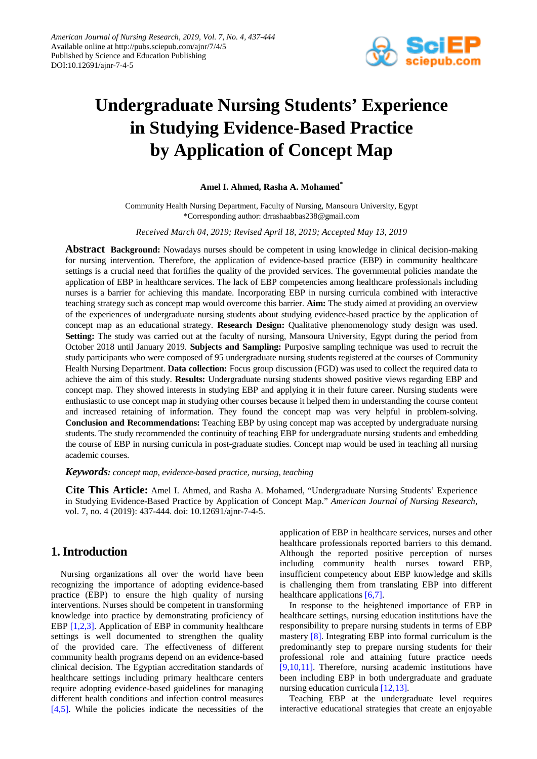

# **Undergraduate Nursing Students' Experience in Studying Evidence-Based Practice by Application of Concept Map**

#### **Amel I. Ahmed, Rasha A. Mohamed\***

Community Health Nursing Department, Faculty of Nursing, Mansoura University, Egypt \*Corresponding author: drrashaabbas238@gmail.com

*Received March 04, 2019; Revised April 18, 2019; Accepted May 13, 2019*

**Abstract Background:** Nowadays nurses should be competent in using knowledge in clinical decision-making for nursing intervention. Therefore, the application of evidence-based practice (EBP) in community healthcare settings is a crucial need that fortifies the quality of the provided services. The governmental policies mandate the application of EBP in healthcare services. The lack of EBP competencies among healthcare professionals including nurses is a barrier for achieving this mandate. Incorporating EBP in nursing curricula combined with interactive teaching strategy such as concept map would overcome this barrier. **Aim:** The study aimed at providing an overview of the experiences of undergraduate nursing students about studying evidence-based practice by the application of concept map as an educational strategy. **Research Design:** Qualitative phenomenology study design was used. **Setting:** The study was carried out at the faculty of nursing, Mansoura University, Egypt during the period from October 2018 until January 2019. **Subjects and Sampling:** Purposive sampling technique was used to recruit the study participants who were composed of 95 undergraduate nursing students registered at the courses of Community Health Nursing Department. **Data collection:** Focus group discussion (FGD) was used to collect the required data to achieve the aim of this study. **Results:** Undergraduate nursing students showed positive views regarding EBP and concept map. They showed interests in studying EBP and applying it in their future career. Nursing students were enthusiastic to use concept map in studying other courses because it helped them in understanding the course content and increased retaining of information. They found the concept map was very helpful in problem-solving. **Conclusion and Recommendations:** Teaching EBP by using concept map was accepted by undergraduate nursing students. The study recommended the continuity of teaching EBP for undergraduate nursing students and embedding the course of EBP in nursing curricula in post-graduate studies. Concept map would be used in teaching all nursing academic courses.

#### *Keywords: concept map, evidence-based practice, nursing, teaching*

**Cite This Article:** Amel I. Ahmed, and Rasha A. Mohamed, "Undergraduate Nursing Students' Experience in Studying Evidence-Based Practice by Application of Concept Map." *American Journal of Nursing Research*, vol. 7, no. 4 (2019): 437-444. doi: 10.12691/ajnr-7-4-5.

# **1. Introduction**

Nursing organizations all over the world have been recognizing the importance of adopting evidence-based practice (EBP) to ensure the high quality of nursing interventions. Nurses should be competent in transforming knowledge into practice by demonstrating proficiency of EBP [\[1,2,3\].](#page-6-0) Application of EBP in community healthcare settings is well documented to strengthen the quality of the provided care. The effectiveness of different community health programs depend on an evidence-based clinical decision. The Egyptian accreditation standards of healthcare settings including primary healthcare centers require adopting evidence-based guidelines for managing different health conditions and infection control measures [\[4,5\].](#page-6-1) While the policies indicate the necessities of the

application of EBP in healthcare services, nurses and other healthcare professionals reported barriers to this demand. Although the reported positive perception of nurses including community health nurses toward EBP, insufficient competency about EBP knowledge and skills is challenging them from translating EBP into different healthcare application[s \[6,7\].](#page-6-2)

In response to the heightened importance of EBP in healthcare settings, nursing education institutions have the responsibility to prepare nursing students in terms of EBP mastery [\[8\].](#page-6-3) Integrating EBP into formal curriculum is the predominantly step to prepare nursing students for their professional role and attaining future practice needs [\[9,10,11\].](#page-6-4) Therefore, nursing academic institutions have been including EBP in both undergraduate and graduate nursing education curricula [\[12,13\].](#page-6-5)

Teaching EBP at the undergraduate level requires interactive educational strategies that create an enjoyable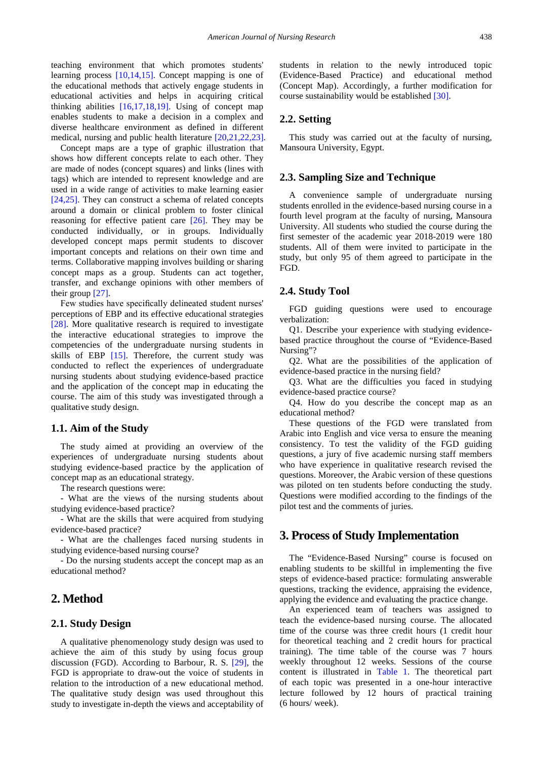teaching environment that which promotes students' learning process [\[10,14,15\].](#page-6-6) Concept mapping is one of the educational methods that actively engage students in educational activities and helps in acquiring critical thinking abilities  $[16,17,18,19]$ . Using of concept map enables students to make a decision in a complex and diverse healthcare environment as defined in different medical, nursing and public health literature [\[20,21,22,23\].](#page-6-8)

Concept maps are a type of graphic illustration that shows how different concepts relate to each other. They are made of nodes (concept squares) and links (lines with tags) which are intended to represent knowledge and are used in a wide range of activities to make learning easier [\[24,25\].](#page-6-9) They can construct a schema of related concepts around a domain or clinical problem to foster clinical reasoning for effective patient care [\[26\].](#page-6-10) They may be conducted individually, or in groups. Individually developed concept maps permit students to discover important concepts and relations on their own time and terms. Collaborative mapping involves building or sharing concept maps as a group. Students can act together, transfer, and exchange opinions with other members of their group [\[27\].](#page-6-11)

Few studies have specifically delineated student nurses' perceptions of EBP and its effective educational strategies [\[28\].](#page-6-12) More qualitative research is required to investigate the interactive educational strategies to improve the competencies of the undergraduate nursing students in skills of EBP [\[15\].](#page-6-13) Therefore, the current study was conducted to reflect the experiences of undergraduate nursing students about studying evidence-based practice and the application of the concept map in educating the course. The aim of this study was investigated through a qualitative study design.

## **1.1. Aim of the Study**

The study aimed at providing an overview of the experiences of undergraduate nursing students about studying evidence-based practice by the application of concept map as an educational strategy.

The research questions were:

- What are the views of the nursing students about studying evidence-based practice?

- What are the skills that were acquired from studying evidence-based practice?

- What are the challenges faced nursing students in studying evidence-based nursing course?

- Do the nursing students accept the concept map as an educational method?

# **2. Method**

## **2.1. Study Design**

A qualitative phenomenology study design was used to achieve the aim of this study by using focus group discussion (FGD). According to Barbour, R. S. [\[29\],](#page-6-14) the FGD is appropriate to draw-out the voice of students in relation to the introduction of a new educational method. The qualitative study design was used throughout this study to investigate in-depth the views and acceptability of students in relation to the newly introduced topic (Evidence-Based Practice) and educational method (Concept Map). Accordingly, a further modification for course sustainability would be established [\[30\].](#page-6-15)

## **2.2. Setting**

This study was carried out at the faculty of nursing, Mansoura University, Egypt.

## **2.3. Sampling Size and Technique**

A convenience sample of undergraduate nursing students enrolled in the evidence-based nursing course in a fourth level program at the faculty of nursing, Mansoura University. All students who studied the course during the first semester of the academic year 2018-2019 were 180 students. All of them were invited to participate in the study, but only 95 of them agreed to participate in the FGD.

#### **2.4. Study Tool**

FGD guiding questions were used to encourage verbalization:

Q1. Describe your experience with studying evidencebased practice throughout the course of "Evidence-Based Nursing"?

Q2. What are the possibilities of the application of evidence-based practice in the nursing field?

Q3. What are the difficulties you faced in studying evidence-based practice course?

Q4. How do you describe the concept map as an educational method?

These questions of the FGD were translated from Arabic into English and vice versa to ensure the meaning consistency. To test the validity of the FGD guiding questions, a jury of five academic nursing staff members who have experience in qualitative research revised the questions. Moreover, the Arabic version of these questions was piloted on ten students before conducting the study. Questions were modified according to the findings of the pilot test and the comments of juries.

## **3. Process of Study Implementation**

The "Evidence-Based Nursing" course is focused on enabling students to be skillful in implementing the five steps of evidence-based practice: formulating answerable questions, tracking the evidence, appraising the evidence, applying the evidence and evaluating the practice change.

An experienced team of teachers was assigned to teach the evidence-based nursing course. The allocated time of the course was three credit hours (1 credit hour for theoretical teaching and 2 credit hours for practical training). The time table of the course was 7 hours weekly throughout 12 weeks. Sessions of the course content is illustrated in [Table 1.](#page-2-0) The theoretical part of each topic was presented in a one-hour interactive lecture followed by 12 hours of practical training (6 hours/ week).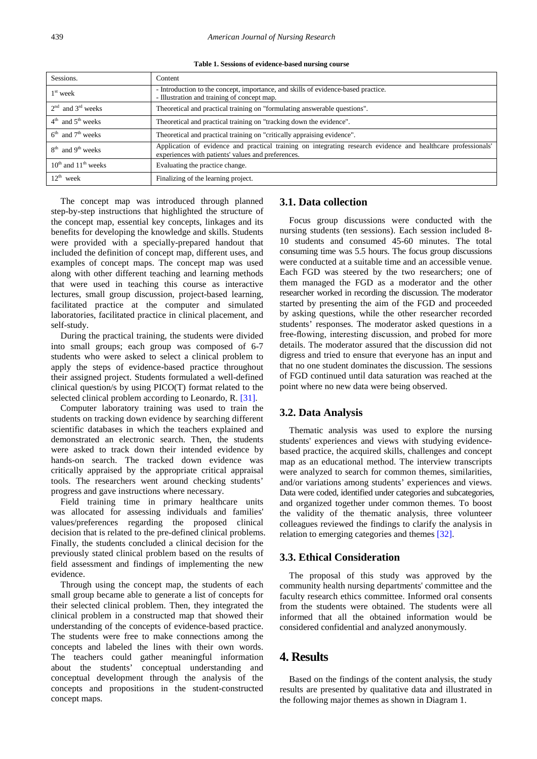**Table 1. Sessions of evidence-based nursing course**

<span id="page-2-0"></span>

| Sessions.                     | Content                                                                                                                                                             |
|-------------------------------|---------------------------------------------------------------------------------------------------------------------------------------------------------------------|
| $1st$ week                    | - Introduction to the concept, importance, and skills of evidence-based practice.<br>- Illustration and training of concept map.                                    |
| $2nd$ and $3rd$ weeks         | Theoretical and practical training on "formulating answerable questions".                                                                                           |
| $4th$ and $5th$ weeks         | Theoretical and practical training on "tracking down the evidence".                                                                                                 |
| $6th$ and $7th$ weeks         | Theoretical and practical training on "critically appraising evidence".                                                                                             |
| $8th$ and $9th$ weeks         | Application of evidence and practical training on integrating research evidence and healthcare professionals'<br>experiences with patients' values and preferences. |
| $10^{th}$ and $11^{th}$ weeks | Evaluating the practice change.                                                                                                                                     |
| $12^{th}$ week                | Finalizing of the learning project.                                                                                                                                 |

The concept map was introduced through planned step-by-step instructions that highlighted the structure of the concept map, essential key concepts, linkages and its benefits for developing the knowledge and skills. Students were provided with a specially-prepared handout that included the definition of concept map, different uses, and examples of concept maps. The concept map was used along with other different teaching and learning methods that were used in teaching this course as interactive lectures, small group discussion, project-based learning, facilitated practice at the computer and simulated laboratories, facilitated practice in clinical placement, and self-study.

During the practical training, the students were divided into small groups; each group was composed of 6-7 students who were asked to select a clinical problem to apply the steps of evidence-based practice throughout their assigned project. Students formulated a well-defined clinical question/s by using PICO(T) format related to the selected clinical problem according to Leonardo, R. [\[31\].](#page-6-16)

Computer laboratory training was used to train the students on tracking down evidence by searching different scientific databases in which the teachers explained and demonstrated an electronic search. Then, the students were asked to track down their intended evidence by hands-on search. The tracked down evidence was critically appraised by the appropriate critical appraisal tools. The researchers went around checking students' progress and gave instructions where necessary.

Field training time in primary healthcare units was allocated for assessing individuals and families' values/preferences regarding the proposed clinical decision that is related to the pre-defined clinical problems. Finally, the students concluded a clinical decision for the previously stated clinical problem based on the results of field assessment and findings of implementing the new evidence.

Through using the concept map, the students of each small group became able to generate a list of concepts for their selected clinical problem. Then, they integrated the clinical problem in a constructed map that showed their understanding of the concepts of evidence-based practice. The students were free to make connections among the concepts and labeled the lines with their own words. The teachers could gather meaningful information about the students' conceptual understanding and conceptual development through the analysis of the concepts and propositions in the student-constructed concept maps.

#### **3.1. Data collection**

Focus group discussions were conducted with the nursing students (ten sessions). Each session included 8- 10 students and consumed 45-60 minutes. The total consuming time was 5.5 hours. The focus group discussions were conducted at a suitable time and an accessible venue. Each FGD was steered by the two researchers; one of them managed the FGD as a moderator and the other researcher worked in recording the discussion. The moderator started by presenting the aim of the FGD and proceeded by asking questions, while the other researcher recorded students' responses. The moderator asked questions in a free-flowing, interesting discussion, and probed for more details. The moderator assured that the discussion did not digress and tried to ensure that everyone has an input and that no one student dominates the discussion. The sessions of FGD continued until data saturation was reached at the point where no new data were being observed.

## **3.2. Data Analysis**

Thematic analysis was used to explore the nursing students' experiences and views with studying evidencebased practice, the acquired skills, challenges and concept map as an educational method. The interview transcripts were analyzed to search for common themes, similarities, and/or variations among students' experiences and views. Data were coded, identified under categories and subcategories, and organized together under common themes. To boost the validity of the thematic analysis, three volunteer colleagues reviewed the findings to clarify the analysis in relation to emerging categories and themes [\[32\].](#page-6-17)

## **3.3. Ethical Consideration**

The proposal of this study was approved by the community health nursing departments' committee and the faculty research ethics committee. Informed oral consents from the students were obtained. The students were all informed that all the obtained information would be considered confidential and analyzed anonymously.

# **4. Results**

Based on the findings of the content analysis, the study results are presented by qualitative data and illustrated in the following major themes as shown in Diagram 1.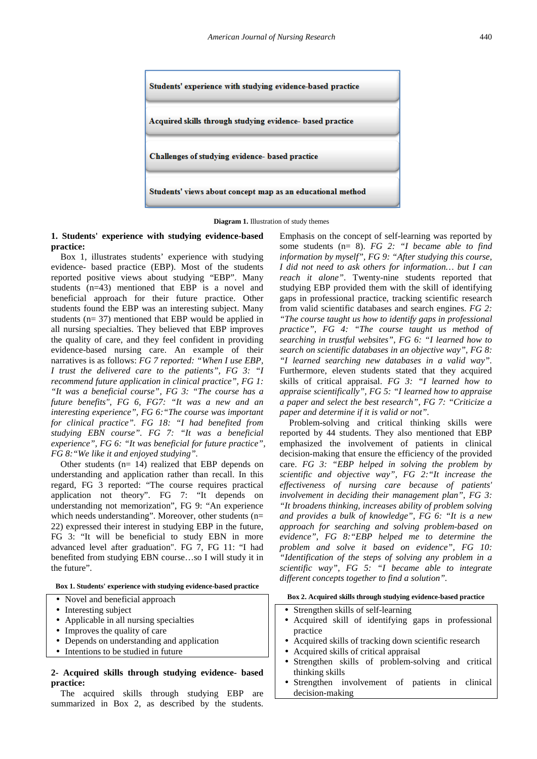

**Diagram 1.** Illustration of study themes

**1. Students' experience with studying evidence-based practice:**

Box 1, illustrates students' experience with studying evidence- based practice (EBP). Most of the students reported positive views about studying "EBP". Many students (n=43) mentioned that EBP is a novel and beneficial approach for their future practice. Other students found the EBP was an interesting subject. Many students (n= 37) mentioned that EBP would be applied in all nursing specialties. They believed that EBP improves the quality of care, and they feel confident in providing evidence-based nursing care. An example of their narratives is as follows: *FG 7 reported: "When I use EBP, I trust the delivered care to the patients", FG 3: "I recommend future application in clinical practice", FG 1: "It was a beneficial course", FG 3: "The course has a future benefits", FG 6, FG7: "It was a new and an interesting experience", FG 6:"The course was important for clinical practice". FG 18: "I had benefited from studying EBN course". FG 7: "It was a beneficial experience", FG 6: "It was beneficial for future practice", FG 8:"We like it and enjoyed studying".*

Other students  $(n= 14)$  realized that EBP depends on understanding and application rather than recall. In this regard, FG 3 reported: "The course requires practical application not theory". FG 7: "It depends on understanding not memorization", FG 9: "An experience which needs understanding". Moreover, other students (n= 22) expressed their interest in studying EBP in the future, FG 3: "It will be beneficial to study EBN in more advanced level after graduation". FG 7, FG 11: "I had benefited from studying EBN course…so I will study it in the future".

**Box 1. Students' experience with studying evidence-based practice**

- Novel and beneficial approach
- Interesting subject
- Applicable in all nursing specialties
- Improves the quality of care
- Depends on understanding and application
- Intentions to be studied in future

**2- Acquired skills through studying evidence- based practice:**

The acquired skills through studying EBP are summarized in Box 2, as described by the students. Emphasis on the concept of self-learning was reported by some students (n= 8). *FG 2: "I became able to find information by myself", FG 9: "After studying this course, I did not need to ask others for information… but I can reach it alone"*. Twenty-nine students reported that studying EBP provided them with the skill of identifying gaps in professional practice, tracking scientific research from valid scientific databases and search engines. *FG 2: "The course taught us how to identify gaps in professional practice", FG 4: "The course taught us method of searching in trustful websites", FG 6: "I learned how to search on scientific databases in an objective way", FG 8: "I learned searching new databases in a valid way".*  Furthermore, eleven students stated that they acquired skills of critical appraisal. *FG 3: "I learned how to appraise scientifically", FG 5: "I learned how to appraise a paper and select the best research", FG 7: "Criticize a paper and determine if it is valid or not".* 

Problem-solving and critical thinking skills were reported by 44 students. They also mentioned that EBP emphasized the involvement of patients in clinical decision-making that ensure the efficiency of the provided care. *FG 3: "EBP helped in solving the problem by scientific and objective way", FG 2:"It increase the effectiveness of nursing care because of patients' involvement in deciding their management plan"*, *FG 3: "It broadens thinking, increases ability of problem solving and provides a bulk of knowledge", FG 6: "It is a new approach for searching and solving problem-based on evidence"*, *FG 8:"EBP helped me to determine the problem and solve it based on evidence", FG 10: "Identification of the steps of solving any problem in a scientific way", FG 5: "I became able to integrate different concepts together to find a solution".*

#### **Box 2. Acquired skills through studying evidence-based practice**

- Strengthen skills of self-learning
- Acquired skill of identifying gaps in professional practice
- Acquired skills of tracking down scientific research
- Acquired skills of critical appraisal
- Strengthen skills of problem-solving and critical thinking skills
- Strengthen involvement of patients in clinical decision-making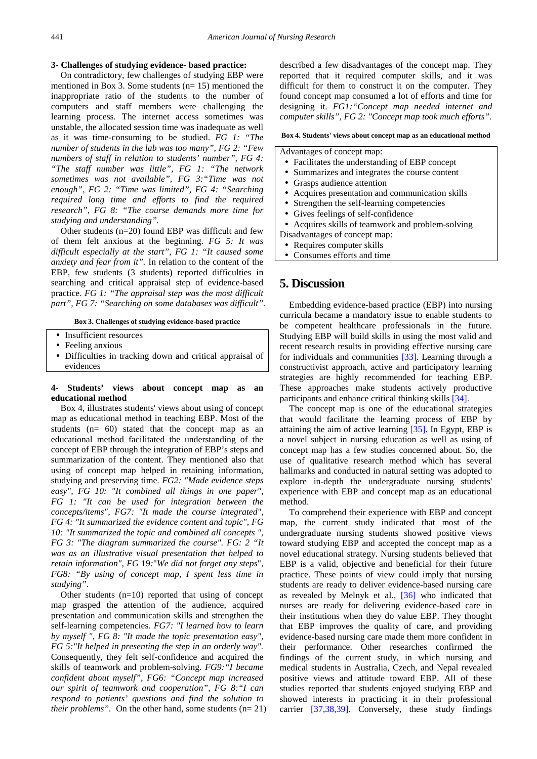#### **3- Challenges of studying evidence- based practice:**

On contradictory, few challenges of studying EBP were mentioned in Box 3. Some students  $(n= 15)$  mentioned the inappropriate ratio of the students to the number of computers and staff members were challenging the learning process. The internet access sometimes was unstable, the allocated session time was inadequate as well as it was time-consuming to be studied. *FG 1: "The number of students in the lab was too many", FG 2: "Few numbers of staff in relation to students' number", FG 4: "The staff number was little", FG 1: "The network sometimes was not available", FG 3:"Time was not enough", FG 2: "Time was limited", FG 4: "Searching required long time and efforts to find the required research", FG 8: "The course demands more time for studying and understanding".*

Other students (n=20) found EBP was difficult and few of them felt anxious at the beginning. *FG 5: It was difficult especially at the start", FG 1: "It caused some anxiety and fear from it".* In relation to the content of the EBP, few students (3 students) reported difficulties in searching and critical appraisal step of evidence-based practice. *FG 1: "The appraisal step was the most difficult part", FG 7: "Searching on some databases was difficult".*

**Box 3. Challenges of studying evidence-based practice**

- Insufficient resources
- Feeling anxious
- Difficulties in tracking down and critical appraisal of evidences

#### **4- Students' views about concept map as an educational method**

Box 4, illustrates students' views about using of concept map as educational method in teaching EBP. Most of the students (n= 60) stated that the concept map as an educational method facilitated the understanding of the concept of EBP through the integration of EBP's steps and summarization of the content. They mentioned also that using of concept map helped in retaining information, studying and preserving time. *FG2: "Made evidence steps easy", FG 10: "It combined all things in one paper", FG 1: "It can be used for integration between the concepts/items", FG7: "It made the course integrated", FG 4: "It summarized the evidence content and topic", FG 10: "It summarized the topic and combined all concepts ", FG 3: "The diagram summarized the course". FG: 2 "It was as an illustrative visual presentation that helped to retain information", FG* 19*:*"*We did not forget any steps*", *FG8: "By using of concept map, I spent less time in studying".*

Other students  $(n=10)$  reported that using of concept map grasped the attention of the audience, acquired presentation and communication skills and strengthen the self-learning competencies. *FG7: "I learned how to learn by myself ", FG 8: "It made the topic presentation easy", FG 5:"It helped in presenting the step in an orderly way".*  Consequently, they felt self-confidence and acquired the skills of teamwork and problem-solving. *FG9:"I became confident about myself", FG6: "Concept map increased our spirit of teamwork and cooperation", FG 8:"I can respond to patients' questions and find the solution to their problems".* On the other hand, some students (n= 21) described a few disadvantages of the concept map. They reported that it required computer skills, and it was difficult for them to construct it on the computer. They found concept map consumed a lot of efforts and time for designing it. *FG1:"Concept map needed internet and computer skills", FG 2: "Concept map took much efforts".*

#### **Box 4. Students' views about concept map as an educational method**

Advantages of concept map:

- Facilitates the understanding of EBP concept
- Summarizes and integrates the course content
- Grasps audience attention
- Acquires presentation and communication skills
- Strengthen the self-learning competencies
- Gives feelings of self-confidence
- Acquires skills of teamwork and problem-solving
- Disadvantages of concept map:
- Requires computer skills
- Consumes efforts and time

## **5. Discussion**

Embedding evidence-based practice (EBP) into nursing curricula became a mandatory issue to enable students to be competent healthcare professionals in the future. Studying EBP will build skills in using the most valid and recent research results in providing effective nursing care for individuals and communities [\[33\].](#page-6-18) Learning through a constructivist approach, active and participatory learning strategies are highly recommended for teaching EBP. These approaches make students actively productive participants and enhance critical thinking skills [\[34\].](#page-6-19)

The concept map is one of the educational strategies that would facilitate the learning process of EBP by attaining the aim of active learning [\[35\].](#page-6-20) In Egypt, EBP is a novel subject in nursing education as well as using of concept map has a few studies concerned about. So, the use of qualitative research method which has several hallmarks and conducted in natural setting was adopted to explore in-depth the undergraduate nursing students' experience with EBP and concept map as an educational method.

To comprehend their experience with EBP and concept map, the current study indicated that most of the undergraduate nursing students showed positive views toward studying EBP and accepted the concept map as a novel educational strategy. Nursing students believed that EBP is a valid, objective and beneficial for their future practice. These points of view could imply that nursing students are ready to deliver evidence-based nursing care as revealed by Melnyk et al., [\[36\]](#page-6-21) who indicated that nurses are ready for delivering evidence-based care in their institutions when they do value EBP. They thought that EBP improves the quality of care, and providing evidence-based nursing care made them more confident in their performance. Other researches confirmed the findings of the current study, in which nursing and medical students in Australia, Czech, and Nepal revealed positive views and attitude toward EBP. All of these studies reported that students enjoyed studying EBP and showed interests in practicing it in their professional carrier [\[37,38,39\].](#page-6-22) Conversely, these study findings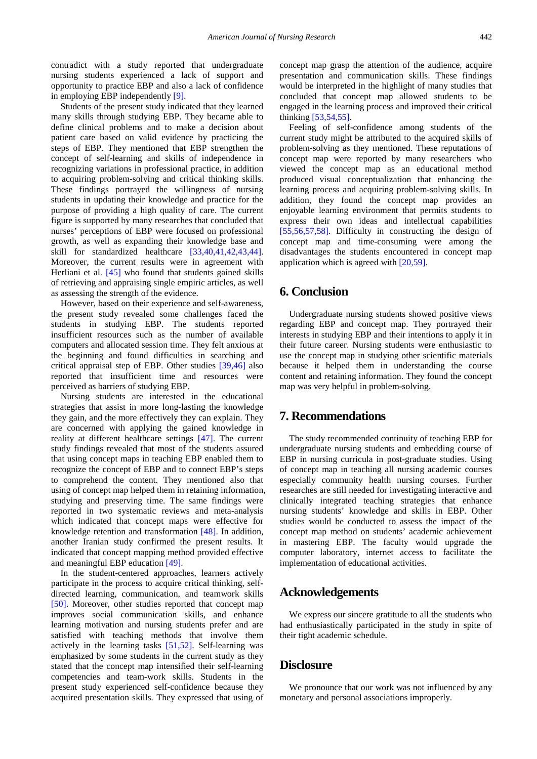contradict with a study reported that undergraduate nursing students experienced a lack of support and opportunity to practice EBP and also a lack of confidence in employing EBP independently [\[9\].](#page-6-4)

Students of the present study indicated that they learned many skills through studying EBP. They became able to define clinical problems and to make a decision about patient care based on valid evidence by practicing the steps of EBP. They mentioned that EBP strengthen the concept of self-learning and skills of independence in recognizing variations in professional practice, in addition to acquiring problem-solving and critical thinking skills. These findings portrayed the willingness of nursing students in updating their knowledge and practice for the purpose of providing a high quality of care. The current figure is supported by many researches that concluded that nurses' perceptions of EBP were focused on professional growth, as well as expanding their knowledge base and skill for standardized healthcare [\[33,40,41,42,43,44\].](#page-6-18) Moreover, the current results were in agreement with Herliani et al. [\[45\]](#page-7-0) who found that students gained skills of retrieving and appraising single empiric articles, as well as assessing the strength of the evidence.

However, based on their experience and self-awareness, the present study revealed some challenges faced the students in studying EBP. The students reported insufficient resources such as the number of available computers and allocated session time. They felt anxious at the beginning and found difficulties in searching and critical appraisal step of EBP. Other studies [\[39,46\]](#page-6-23) also reported that insufficient time and resources were perceived as barriers of studying EBP.

Nursing students are interested in the educational strategies that assist in more long-lasting the knowledge they gain, and the more effectively they can explain. They are concerned with applying the gained knowledge in reality at different healthcare settings [\[47\].](#page-7-1) The current study findings revealed that most of the students assured that using concept maps in teaching EBP enabled them to recognize the concept of EBP and to connect EBP's steps to comprehend the content. They mentioned also that using of concept map helped them in retaining information, studying and preserving time. The same findings were reported in two systematic reviews and meta-analysis which indicated that concept maps were effective for knowledge retention and transformation [\[48\].](#page-7-2) In addition, another Iranian study confirmed the present results. It indicated that concept mapping method provided effective and meaningful EBP education [\[49\].](#page-7-3)

In the student-centered approaches, learners actively participate in the process to acquire critical thinking, selfdirected learning, communication, and teamwork skills [\[50\].](#page-7-4) Moreover, other studies reported that concept map improves social communication skills, and enhance learning motivation and nursing students prefer and are satisfied with teaching methods that involve them actively in the learning tasks [\[51,52\].](#page-7-5) Self-learning was emphasized by some students in the current study as they stated that the concept map intensified their self-learning competencies and team-work skills. Students in the present study experienced self-confidence because they acquired presentation skills. They expressed that using of

concept map grasp the attention of the audience, acquire presentation and communication skills. These findings would be interpreted in the highlight of many studies that concluded that concept map allowed students to be engaged in the learning process and improved their critical thinking [\[53,54,55\].](#page-7-6)

Feeling of self-confidence among students of the current study might be attributed to the acquired skills of problem-solving as they mentioned. These reputations of concept map were reported by many researchers who viewed the concept map as an educational method produced visual conceptualization that enhancing the learning process and acquiring problem-solving skills. In addition, they found the concept map provides an enjoyable learning environment that permits students to express their own ideas and intellectual capabilities [\[55,56,57,58\].](#page-7-7) Difficulty in constructing the design of concept map and time-consuming were among the disadvantages the students encountered in concept map application which is agreed wit[h \[20,59\].](#page-6-8)

# **6. Conclusion**

Undergraduate nursing students showed positive views regarding EBP and concept map. They portrayed their interests in studying EBP and their intentions to apply it in their future career. Nursing students were enthusiastic to use the concept map in studying other scientific materials because it helped them in understanding the course content and retaining information. They found the concept map was very helpful in problem-solving.

## **7. Recommendations**

The study recommended continuity of teaching EBP for undergraduate nursing students and embedding course of EBP in nursing curricula in post-graduate studies. Using of concept map in teaching all nursing academic courses especially community health nursing courses. Further researches are still needed for investigating interactive and clinically integrated teaching strategies that enhance nursing students' knowledge and skills in EBP. Other studies would be conducted to assess the impact of the concept map method on students' academic achievement in mastering EBP. The faculty would upgrade the computer laboratory, internet access to facilitate the implementation of educational activities.

## **Acknowledgements**

We express our sincere gratitude to all the students who had enthusiastically participated in the study in spite of their tight academic schedule.

## **Disclosure**

We pronounce that our work was not influenced by any monetary and personal associations improperly.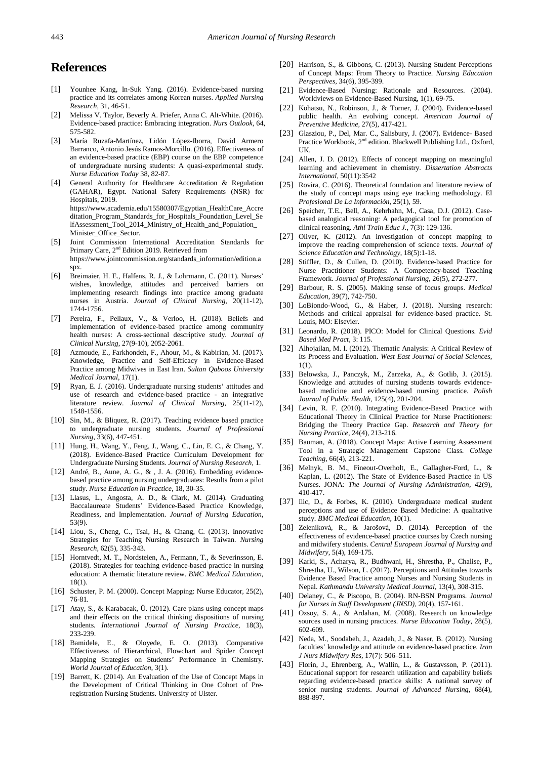# **References**

- <span id="page-6-0"></span>[1] Younhee Kang, In-Suk Yang. (2016). Evidence-based nursing practice and its correlates among Korean nurses. *Applied Nursing Research*, 31, 46-51.
- [2] Melissa V. Taylor, Beverly A. Priefer, Anna C. Alt-White. (2016). Evidence-based practice: Embracing integration. *Nurs Outlook,* 64, 575-582.
- [3] María Ruzafa-Martínez, Lidón López-Iborra, David Armero Barranco, Antonio Jesús Ramos-Morcillo. (2016). Effectiveness of an evidence-based practice (EBP) course on the EBP competence of undergraduate nursing students: A quasi-experimental study. *Nurse Education Today* 38, 82-87.
- <span id="page-6-1"></span>[4] General Authority for Healthcare Accreditation & Regulation (GAHAR), Egypt. National Safety Requirements (NSR) for Hospitals, 2019. https://www.academia.edu/15580307/Egyptian\_HealthCare\_Accre ditation\_Program\_Standards\_for\_Hospitals\_Foundation\_Level\_Se lfAssessment\_Tool\_2014\_Ministry\_of\_Health\_and\_Population\_ Minister\_Office\_Sector.
- [5] Joint Commission International Accreditation Standards for Primary Care, 2nd Edition 2019. Retrieved from https://www.jointcommission.org/standards\_information/edition.a spx.
- <span id="page-6-2"></span>[6] Breimaier, H. E., Halfens, R. J., & Lohrmann, C. (2011). Nurses' wishes, knowledge, attitudes and perceived barriers on implementing research findings into practice among graduate nurses in Austria. *Journal of Clinical Nursing*, 20(11-12), 1744-1756.
- [7] Pereira, F., Pellaux, V., & Verloo, H. (2018). Beliefs and implementation of evidence-based practice among community health nurses: A cross-sectional descriptive study. *Journal of Clinical Nursing*, 27(9-10), 2052-2061.
- <span id="page-6-3"></span>[8] Azmoude, E., Farkhondeh, F., Ahour, M., & Kabirian, M. (2017). Knowledge, Practice and Self-Efficacy in Evidence-Based Practice among Midwives in East Iran. *Sultan Qaboos University Medical Journal*, 17(1).
- <span id="page-6-4"></span>[9] Ryan, E. J. (2016). Undergraduate nursing students' attitudes and use of research and evidence-based practice - an integrative literature review. *Journal of Clinical Nursing*, 25(11-12), 1548-1556.
- <span id="page-6-6"></span>[10] Sin, M., & Bliquez, R. (2017). Teaching evidence based practice to undergraduate nursing students. *Journal of Professional Nursing*, 33(6), 447-451.
- [11] Hung, H., Wang, Y., Feng, J., Wang, C., Lin, E. C., & Chang, Y. (2018). Evidence-Based Practice Curriculum Development for Undergraduate Nursing Students. *Journal of Nursing Research*, 1.
- <span id="page-6-5"></span>[12] André, B., Aune, A. G., & , J. A. (2016). Embedding evidencebased practice among nursing undergraduates: Results from a pilot study. *Nurse Education in Practice*, 18, 30-35.
- [13] Llasus, L., Angosta, A. D., & Clark, M. (2014). Graduating Baccalaureate Students' Evidence-Based Practice Knowledge, Readiness, and Implementation. *Journal of Nursing Education*, 53(9).
- [14] Liou, S., Cheng, C., Tsai, H., & Chang, C. (2013). Innovative Strategies for Teaching Nursing Research in Taiwan*. Nursing Research*, 62(5), 335-343.
- <span id="page-6-13"></span>[15] Horntvedt, M. T., Nordsteien, A., Fermann, T., & Severinsson, E. (2018). Strategies for teaching evidence-based practice in nursing education: A thematic literature review. *BMC Medical Education,* 18(1).
- <span id="page-6-7"></span>[16] Schuster, P. M. (2000). Concept Mapping: Nurse Educator, 25(2), 76-81.
- [17] Atay, S., & Karabacak, Ü. (2012). Care plans using concept maps and their effects on the critical thinking dispositions of nursing students. *International Journal of Nursing Practice*, 18(3), 233-239.
- [18] Bamidele, E., & Oloyede, E. O. (2013). Comparative Effectiveness of Hierarchical, Flowchart and Spider Concept Mapping Strategies on Students' Performance in Chemistry. *World Journal of Education*, 3(1).
- [19] Barrett, K. (2014). An Evaluation of the Use of Concept Maps in the Development of Critical Thinking in One Cohort of Preregistration Nursing Students. University of Ulster.
- <span id="page-6-8"></span>[20] Harrison, S., & Gibbons, C. (2013). Nursing Student Perceptions of Concept Maps: From Theory to Practice. *Nursing Education Perspectives*, 34(6), 395-399.
- [21] Evidence-Based Nursing: Rationale and Resources. (2004). Worldviews on Evidence-Based Nursing, 1(1), 69-75.
- [22] Kohatsu, N., Robinson, J., & Torner, J. (2004). Evidence-based public health. An evolving concept. *American Journal of Preventive Medicine*, 27(5), 417-421.
- [23] Glasziou, P., Del, Mar. C., Salisbury, J. (2007). Evidence- Based Practice Workbook, 2<sup>nd</sup> edition. Blackwell Publishing Ltd., Oxford, UK.
- <span id="page-6-9"></span>[24] Allen, J. D. (2012). Effects of concept mapping on meaningful learning and achievement in chemistry. *Dissertation Abstracts International*, 50(11):3542
- [25] Rovira, C. (2016). Theoretical foundation and literature review of the study of concept maps using eye tracking methodology. El *Profesional De La Información*, 25(1), 59.
- <span id="page-6-10"></span>[26] Speicher, T.E., Bell, A., Kehrhahn, M., Casa, D.J. (2012). Casebased analogical reasoning: A pedagogical tool for promotion of clinical reasoning. *Athl Train Educ J.,* 7(3): 129-136.
- <span id="page-6-11"></span>[27] Oliver, K. (2012). An investigation of concept mapping to improve the reading comprehension of science texts. *Journal of Science Education and Technology*, 18(5):1-18.
- <span id="page-6-12"></span>[28] Stiffler, D., & Cullen, D. (2010). Evidence-based Practice for Nurse Practitioner Students: A Competency-based Teaching Framework. *Journal of Professional Nursing*, 26(5), 272-277.
- <span id="page-6-14"></span>[29] Barbour, R. S. (2005). Making sense of focus groups. *Medical Education*, 39(7), 742-750.
- <span id="page-6-15"></span>[30] LoBiondo-Wood, G., & Haber, J. (2018). Nursing research: Methods and critical appraisal for evidence-based practice. St. Louis, MO: Elsevier.
- <span id="page-6-16"></span>[31] Leonardo, R. (2018). PICO: Model for Clinical Questions. *Evid Based Med Pract*, 3: 115.
- <span id="page-6-17"></span>[32] Alhojailan, M. I. (2012). Thematic Analysis: A Critical Review of Its Process and Evaluation. *West East Journal of Social Sciences*, 1(1).
- <span id="page-6-18"></span>[33] Belowska, J., Panczyk, M., Zarzeka, A., & Gotlib, J. (2015). Knowledge and attitudes of nursing students towards evidencebased medicine and evidence-based nursing practice. *Polish Journal of Public Health,* 125(4), 201-204.
- <span id="page-6-19"></span>[34] Levin, R. F. (2010). Integrating Evidence-Based Practice with Educational Theory in Clinical Practice for Nurse Practitioners: Bridging the Theory Practice Gap. *Research and Theory for Nursing Practice*, 24(4), 213-216.
- <span id="page-6-20"></span>[35] Bauman, A. (2018). Concept Maps: Active Learning Assessment Tool in a Strategic Management Capstone Class. *College Teaching*, 66(4), 213-221.
- <span id="page-6-21"></span>[36] Melnyk, B. M., Fineout-Overholt, E., Gallagher-Ford, L., & Kaplan, L. (2012). The State of Evidence-Based Practice in US Nurses. JONA: *The Journal of Nursing Administration*, 42(9), 410-417.
- <span id="page-6-22"></span>[37] Ilic, D., & Forbes, K. (2010). Undergraduate medical student perceptions and use of Evidence Based Medicine: A qualitative study. *BMC Medical Education*, 10(1).
- [38] Zeleníková, R., & Jarošová, D. (2014). Perception of the effectiveness of evidence-based practice courses by Czech nursing and midwifery students. *Central European Journal of Nursing and Midwifery*, 5(4), 169-175.
- <span id="page-6-23"></span>[39] Karki, S., Acharya, R., Budhwani, H., Shrestha, P., Chalise, P., Shrestha, U., Wilson, L. (2017). Perceptions and Attitudes towards Evidence Based Practice among Nurses and Nursing Students in Nepal. *Kathmandu University Medical Journal*, 13(4), 308-315.
- [40] Delaney, C., & Piscopo, B. (2004). RN-BSN Programs. *Journal for Nurses in Staff Development (JNSD)*, 20(4), 157-161.
- [41] Ozsoy, S. A., & Ardahan, M. (2008). Research on knowledge sources used in nursing practices. *Nurse Education Today*, 28(5), 602-609.
- [42] Neda, M., Soodabeh, J., Azadeh, J., & Naser, B. (2012). Nursing faculties' knowledge and attitude on evidence-based practice. *Iran J Nurs Midwifery Res*, 17(7): 506–511.
- [43] Florin, J., Ehrenberg, A., Wallin, L., & Gustavsson, P. (2011). Educational support for research utilization and capability beliefs regarding evidence-based practice skills: A national survey of senior nursing students. *Journal of Advanced Nursing*, 68(4), 888-897.